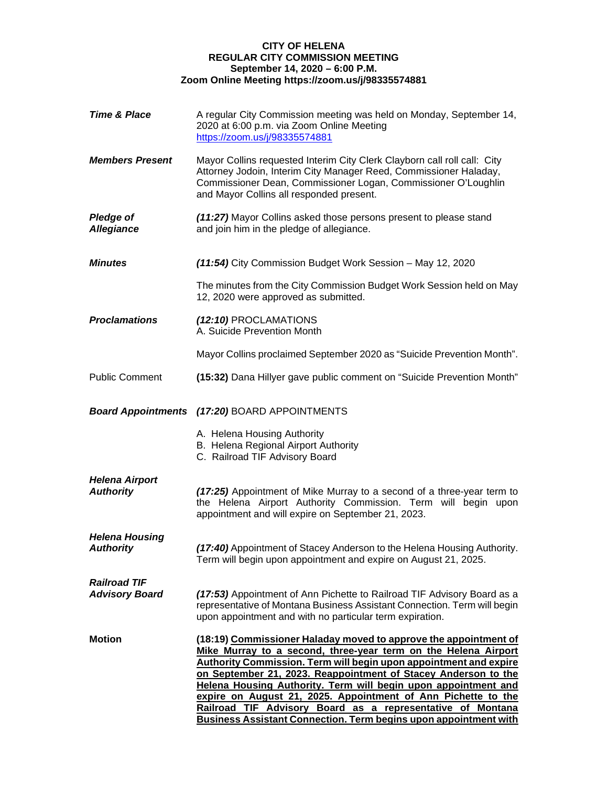## **CITY OF HELENA REGULAR CITY COMMISSION MEETING September 14, 2020 – 6:00 P.M. Zoom Online Meeting https://zoom.us/j/98335574881**

| <b>Time &amp; Place</b>                      | A regular City Commission meeting was held on Monday, September 14,<br>2020 at 6:00 p.m. via Zoom Online Meeting<br>https://zoom.us/j/98335574881                                                                                                                                                                                                                                                                                                                                                                                                            |
|----------------------------------------------|--------------------------------------------------------------------------------------------------------------------------------------------------------------------------------------------------------------------------------------------------------------------------------------------------------------------------------------------------------------------------------------------------------------------------------------------------------------------------------------------------------------------------------------------------------------|
| <b>Members Present</b>                       | Mayor Collins requested Interim City Clerk Clayborn call roll call: City<br>Attorney Jodoin, Interim City Manager Reed, Commissioner Haladay,<br>Commissioner Dean, Commissioner Logan, Commissioner O'Loughlin<br>and Mayor Collins all responded present.                                                                                                                                                                                                                                                                                                  |
| <b>Pledge of</b><br><b>Allegiance</b>        | (11:27) Mayor Collins asked those persons present to please stand<br>and join him in the pledge of allegiance.                                                                                                                                                                                                                                                                                                                                                                                                                                               |
| <b>Minutes</b>                               | (11:54) City Commission Budget Work Session - May 12, 2020                                                                                                                                                                                                                                                                                                                                                                                                                                                                                                   |
|                                              | The minutes from the City Commission Budget Work Session held on May<br>12, 2020 were approved as submitted.                                                                                                                                                                                                                                                                                                                                                                                                                                                 |
| <b>Proclamations</b>                         | (12:10) PROCLAMATIONS<br>A. Suicide Prevention Month                                                                                                                                                                                                                                                                                                                                                                                                                                                                                                         |
|                                              | Mayor Collins proclaimed September 2020 as "Suicide Prevention Month".                                                                                                                                                                                                                                                                                                                                                                                                                                                                                       |
| <b>Public Comment</b>                        | (15:32) Dana Hillyer gave public comment on "Suicide Prevention Month"                                                                                                                                                                                                                                                                                                                                                                                                                                                                                       |
|                                              | <b>Board Appointments (17:20) BOARD APPOINTMENTS</b>                                                                                                                                                                                                                                                                                                                                                                                                                                                                                                         |
|                                              | A. Helena Housing Authority<br>B. Helena Regional Airport Authority<br>C. Railroad TIF Advisory Board                                                                                                                                                                                                                                                                                                                                                                                                                                                        |
| <b>Helena Airport</b><br><b>Authority</b>    | (17:25) Appointment of Mike Murray to a second of a three-year term to<br>the Helena Airport Authority Commission. Term will begin upon<br>appointment and will expire on September 21, 2023.                                                                                                                                                                                                                                                                                                                                                                |
| <b>Helena Housing</b><br><b>Authority</b>    | (17:40) Appointment of Stacey Anderson to the Helena Housing Authority.<br>Term will begin upon appointment and expire on August 21, 2025.                                                                                                                                                                                                                                                                                                                                                                                                                   |
| <b>Railroad TIF</b><br><b>Advisory Board</b> | (17:53) Appointment of Ann Pichette to Railroad TIF Advisory Board as a<br>representative of Montana Business Assistant Connection. Term will begin<br>upon appointment and with no particular term expiration.                                                                                                                                                                                                                                                                                                                                              |
| <b>Motion</b>                                | (18:19) Commissioner Haladay moved to approve the appointment of<br>Mike Murray to a second, three-year term on the Helena Airport<br><b>Authority Commission. Term will begin upon appointment and expire</b><br>on September 21, 2023. Reappointment of Stacey Anderson to the<br>Helena Housing Authority. Term will begin upon appointment and<br>expire on August 21, 2025. Appointment of Ann Pichette to the<br>Railroad TIF Advisory Board as a representative of Montana<br><b>Business Assistant Connection. Term begins upon appointment with</b> |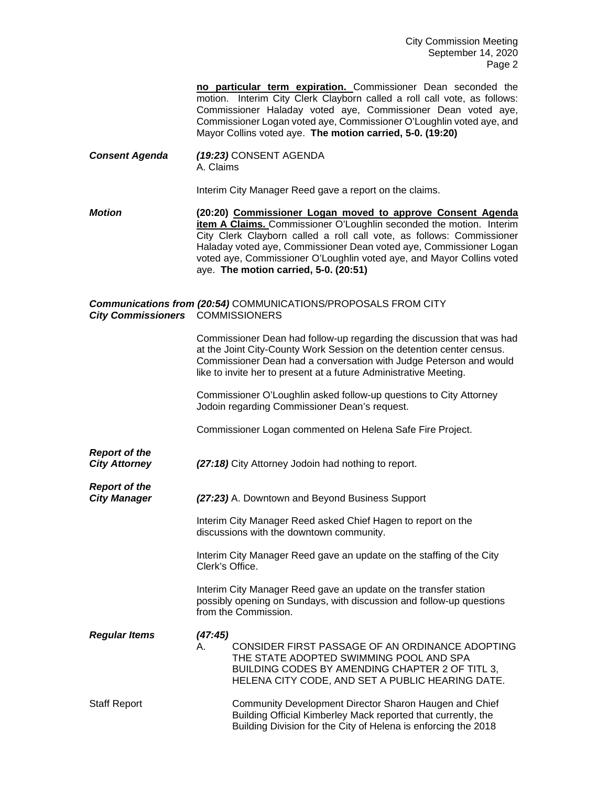**no particular term expiration.** Commissioner Dean seconded the motion. Interim City Clerk Clayborn called a roll call vote, as follows: Commissioner Haladay voted aye, Commissioner Dean voted aye, Commissioner Logan voted aye, Commissioner O'Loughlin voted aye, and Mayor Collins voted aye. **The motion carried, 5-0. (19:20)**

*Consent Agenda (19:23)* CONSENT AGENDA A. Claims

Interim City Manager Reed gave a report on the claims.

*Motion* **(20:20) Commissioner Logan moved to approve Consent Agenda item A Claims.** Commissioner O'Loughlin seconded the motion. Interim City Clerk Clayborn called a roll call vote, as follows: Commissioner Haladay voted aye, Commissioner Dean voted aye, Commissioner Logan voted aye, Commissioner O'Loughlin voted aye, and Mayor Collins voted aye. **The motion carried, 5-0. (20:51)**

## *Communications from (20:54)* COMMUNICATIONS/PROPOSALS FROM CITY *City Commissioners* COMMISSIONERS

Commissioner Dean had follow-up regarding the discussion that was had at the Joint City-County Work Session on the detention center census. Commissioner Dean had a conversation with Judge Peterson and would like to invite her to present at a future Administrative Meeting.

Commissioner O'Loughlin asked follow-up questions to City Attorney Jodoin regarding Commissioner Dean's request.

Commissioner Logan commented on Helena Safe Fire Project.

*Report of the City Attorney (27:18)* City Attorney Jodoin had nothing to report.

*Report of the (27:23)* A. Downtown and Beyond Business Support

> Interim City Manager Reed asked Chief Hagen to report on the discussions with the downtown community.

Interim City Manager Reed gave an update on the staffing of the City Clerk's Office.

Interim City Manager Reed gave an update on the transfer station possibly opening on Sundays, with discussion and follow-up questions from the Commission.

*Regular Items (47:45)* A. CONSIDER FIRST PASSAGE OF AN ORDINANCE ADOPTING THE STATE ADOPTED SWIMMING POOL AND SPA BUILDING CODES BY AMENDING CHAPTER 2 OF TITL 3, HELENA CITY CODE, AND SET A PUBLIC HEARING DATE. Staff Report Community Development Director Sharon Haugen and Chief Building Official Kimberley Mack reported that currently, the Building Division for the City of Helena is enforcing the 2018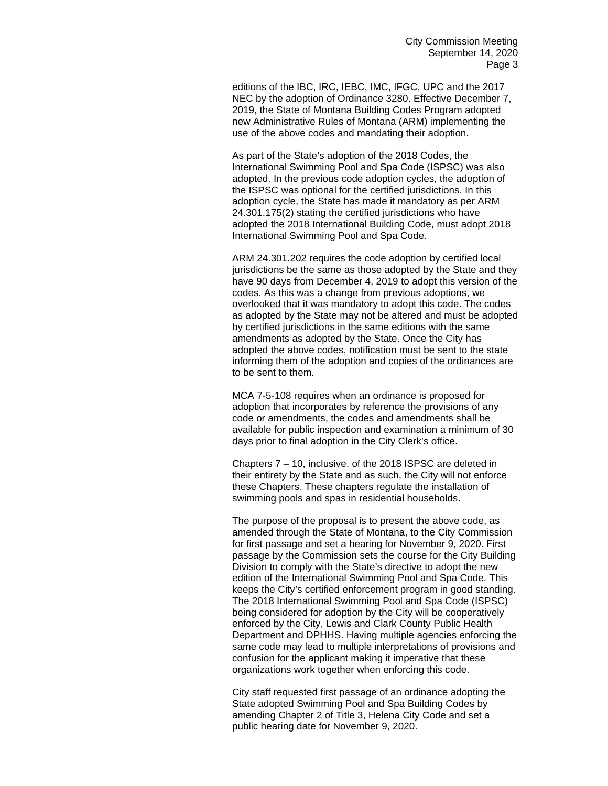editions of the IBC, IRC, IEBC, IMC, IFGC, UPC and the 2017 NEC by the adoption of Ordinance 3280. Effective December 7, 2019, the State of Montana Building Codes Program adopted new Administrative Rules of Montana (ARM) implementing the use of the above codes and mandating their adoption.

As part of the State's adoption of the 2018 Codes, the International Swimming Pool and Spa Code (ISPSC) was also adopted. In the previous code adoption cycles, the adoption of the ISPSC was optional for the certified jurisdictions. In this adoption cycle, the State has made it mandatory as per ARM 24.301.175(2) stating the certified jurisdictions who have adopted the 2018 International Building Code, must adopt 2018 International Swimming Pool and Spa Code.

ARM 24.301.202 requires the code adoption by certified local jurisdictions be the same as those adopted by the State and they have 90 days from December 4, 2019 to adopt this version of the codes. As this was a change from previous adoptions, we overlooked that it was mandatory to adopt this code. The codes as adopted by the State may not be altered and must be adopted by certified jurisdictions in the same editions with the same amendments as adopted by the State. Once the City has adopted the above codes, notification must be sent to the state informing them of the adoption and copies of the ordinances are to be sent to them.

MCA 7-5-108 requires when an ordinance is proposed for adoption that incorporates by reference the provisions of any code or amendments, the codes and amendments shall be available for public inspection and examination a minimum of 30 days prior to final adoption in the City Clerk's office.

Chapters 7 – 10, inclusive, of the 2018 ISPSC are deleted in their entirety by the State and as such, the City will not enforce these Chapters. These chapters regulate the installation of swimming pools and spas in residential households.

The purpose of the proposal is to present the above code, as amended through the State of Montana, to the City Commission for first passage and set a hearing for November 9, 2020. First passage by the Commission sets the course for the City Building Division to comply with the State's directive to adopt the new edition of the International Swimming Pool and Spa Code. This keeps the City's certified enforcement program in good standing. The 2018 International Swimming Pool and Spa Code (ISPSC) being considered for adoption by the City will be cooperatively enforced by the City, Lewis and Clark County Public Health Department and DPHHS. Having multiple agencies enforcing the same code may lead to multiple interpretations of provisions and confusion for the applicant making it imperative that these organizations work together when enforcing this code.

City staff requested first passage of an ordinance adopting the State adopted Swimming Pool and Spa Building Codes by amending Chapter 2 of Title 3, Helena City Code and set a public hearing date for November 9, 2020.